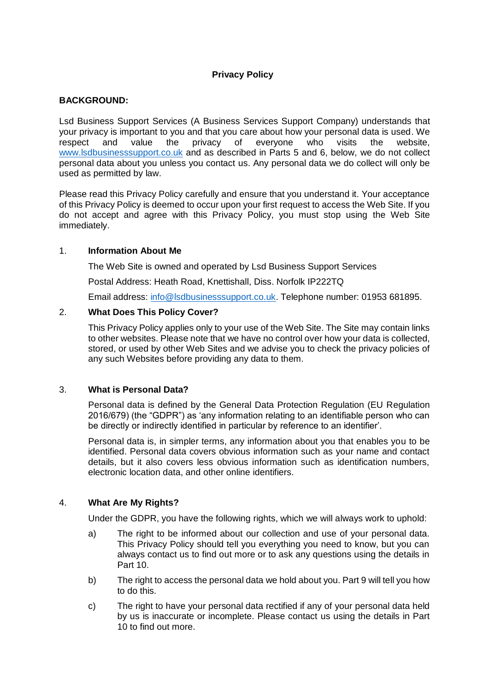# **Privacy Policy**

# **BACKGROUND:**

Lsd Business Support Services (A Business Services Support Company) understands that your privacy is important to you and that you care about how your personal data is used. We respect and value the privacy of everyone who visits the website, [www.lsdbusinesssupport.co.uk](http://www.lsdbusinesssupport.co.uk/) and as described in Parts 5 and 6, below, we do not collect personal data about you unless you contact us. Any personal data we do collect will only be used as permitted by law.

Please read this Privacy Policy carefully and ensure that you understand it. Your acceptance of this Privacy Policy is deemed to occur upon your first request to access the Web Site. If you do not accept and agree with this Privacy Policy, you must stop using the Web Site immediately.

### 1. **Information About Me**

The Web Site is owned and operated by Lsd Business Support Services

Postal Address: Heath Road, Knettishall, Diss. Norfolk IP222TQ

Email address: [info@lsdbusinesssupport.co.uk.](mailto:info@lsdbusinesssupport.co.uk) Telephone number: 01953 681895.

#### 2. **What Does This Policy Cover?**

This Privacy Policy applies only to your use of the Web Site. The Site may contain links to other websites. Please note that we have no control over how your data is collected, stored, or used by other Web Sites and we advise you to check the privacy policies of any such Websites before providing any data to them.

### 3. **What is Personal Data?**

Personal data is defined by the General Data Protection Regulation (EU Regulation 2016/679) (the "GDPR") as 'any information relating to an identifiable person who can be directly or indirectly identified in particular by reference to an identifier'.

Personal data is, in simpler terms, any information about you that enables you to be identified. Personal data covers obvious information such as your name and contact details, but it also covers less obvious information such as identification numbers, electronic location data, and other online identifiers.

### 4. **What Are My Rights?**

Under the GDPR, you have the following rights, which we will always work to uphold:

- a) The right to be informed about our collection and use of your personal data. This Privacy Policy should tell you everything you need to know, but you can always contact us to find out more or to ask any questions using the details in Part 10.
- b) The right to access the personal data we hold about you. Part 9 will tell you how to do this.
- c) The right to have your personal data rectified if any of your personal data held by us is inaccurate or incomplete. Please contact us using the details in Part 10 to find out more.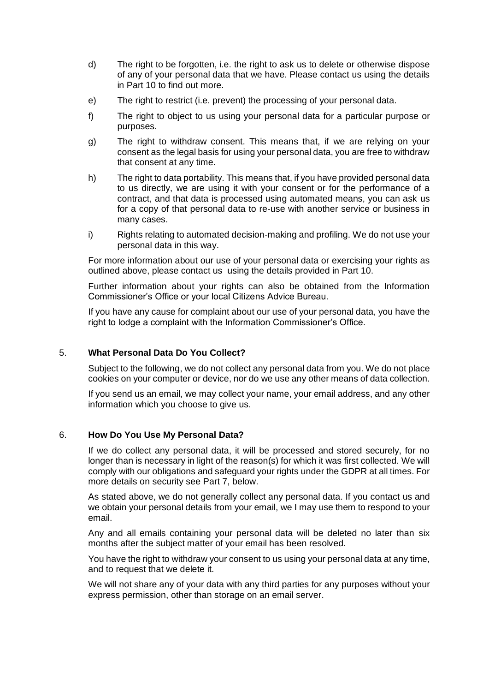- d) The right to be forgotten, i.e. the right to ask us to delete or otherwise dispose of any of your personal data that we have. Please contact us using the details in Part 10 to find out more.
- e) The right to restrict (i.e. prevent) the processing of your personal data.
- f) The right to object to us using your personal data for a particular purpose or purposes.
- g) The right to withdraw consent. This means that, if we are relying on your consent as the legal basis for using your personal data, you are free to withdraw that consent at any time.
- h) The right to data portability. This means that, if you have provided personal data to us directly, we are using it with your consent or for the performance of a contract, and that data is processed using automated means, you can ask us for a copy of that personal data to re-use with another service or business in many cases.
- i) Rights relating to automated decision-making and profiling. We do not use your personal data in this way.

For more information about our use of your personal data or exercising your rights as outlined above, please contact us using the details provided in Part 10.

Further information about your rights can also be obtained from the Information Commissioner's Office or your local Citizens Advice Bureau.

If you have any cause for complaint about our use of your personal data, you have the right to lodge a complaint with the Information Commissioner's Office.

### 5. **What Personal Data Do You Collect?**

Subject to the following, we do not collect any personal data from you. We do not place cookies on your computer or device, nor do we use any other means of data collection.

If you send us an email, we may collect your name, your email address, and any other information which you choose to give us.

### 6. **How Do You Use My Personal Data?**

If we do collect any personal data, it will be processed and stored securely, for no longer than is necessary in light of the reason(s) for which it was first collected. We will comply with our obligations and safeguard your rights under the GDPR at all times. For more details on security see Part 7, below.

As stated above, we do not generally collect any personal data. If you contact us and we obtain your personal details from your email, we I may use them to respond to your email.

Any and all emails containing your personal data will be deleted no later than six months after the subject matter of your email has been resolved.

You have the right to withdraw your consent to us using your personal data at any time, and to request that we delete it.

We will not share any of your data with any third parties for any purposes without your express permission, other than storage on an email server.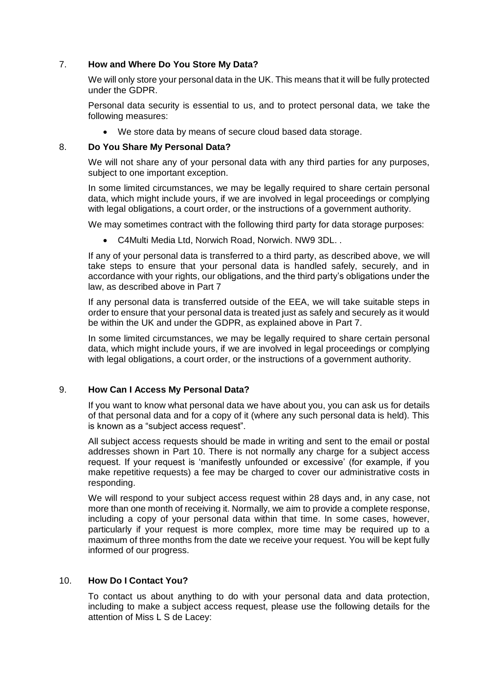# 7. **How and Where Do You Store My Data?**

We will only store your personal data in the UK. This means that it will be fully protected under the GDPR.

Personal data security is essential to us, and to protect personal data, we take the following measures:

We store data by means of secure cloud based data storage.

# 8. **Do You Share My Personal Data?**

We will not share any of your personal data with any third parties for any purposes, subject to one important exception.

In some limited circumstances, we may be legally required to share certain personal data, which might include yours, if we are involved in legal proceedings or complying with legal obligations, a court order, or the instructions of a government authority.

We may sometimes contract with the following third party for data storage purposes:

C4Multi Media Ltd, Norwich Road, Norwich. NW9 3DL. .

If any of your personal data is transferred to a third party, as described above, we will take steps to ensure that your personal data is handled safely, securely, and in accordance with your rights, our obligations, and the third party's obligations under the law, as described above in Part 7

If any personal data is transferred outside of the EEA, we will take suitable steps in order to ensure that your personal data is treated just as safely and securely as it would be within the UK and under the GDPR, as explained above in Part 7.

In some limited circumstances, we may be legally required to share certain personal data, which might include yours, if we are involved in legal proceedings or complying with legal obligations, a court order, or the instructions of a government authority.

### 9. **How Can I Access My Personal Data?**

If you want to know what personal data we have about you, you can ask us for details of that personal data and for a copy of it (where any such personal data is held). This is known as a "subject access request".

All subject access requests should be made in writing and sent to the email or postal addresses shown in Part 10. There is not normally any charge for a subject access request. If your request is 'manifestly unfounded or excessive' (for example, if you make repetitive requests) a fee may be charged to cover our administrative costs in responding.

We will respond to your subject access request within 28 days and, in any case, not more than one month of receiving it. Normally, we aim to provide a complete response, including a copy of your personal data within that time. In some cases, however, particularly if your request is more complex, more time may be required up to a maximum of three months from the date we receive your request. You will be kept fully informed of our progress.

# 10. **How Do I Contact You?**

To contact us about anything to do with your personal data and data protection, including to make a subject access request, please use the following details for the attention of Miss L S de Lacey: